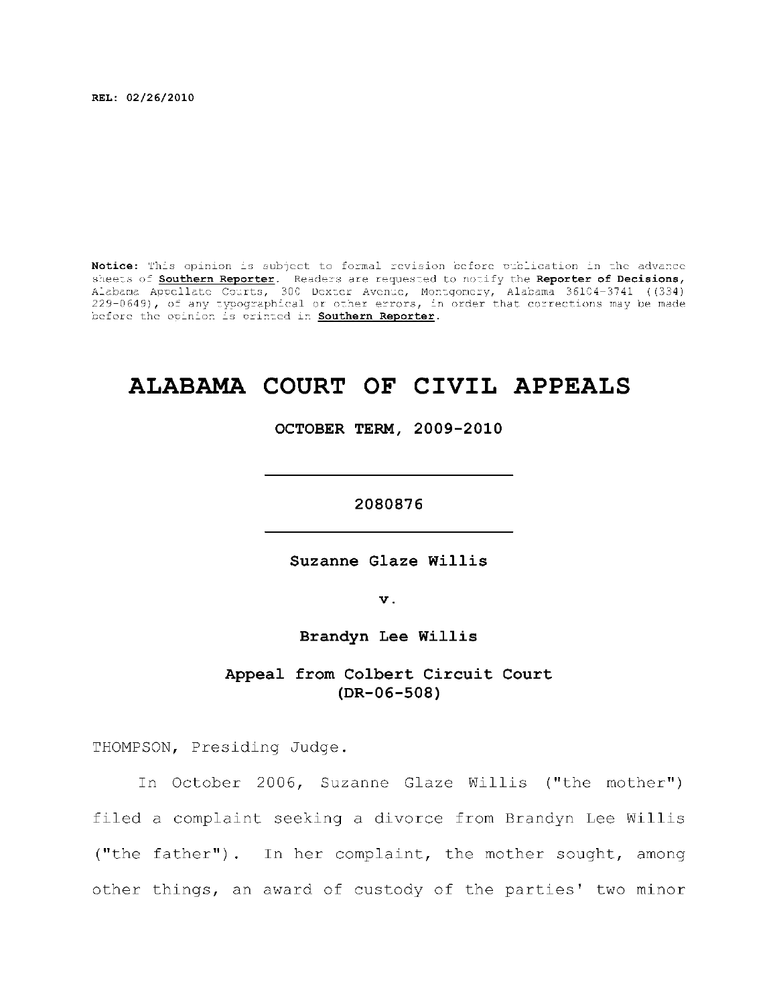**REL: 02/26/2010** 

Notice: This opinion is subject to formal revision before publication in the advance sheets of **Southern Reporter**. Readers are requested to notify the Reporter of Decisions, Alabama Appellat e Courts , 300 Dexte r Avenue, Montgomery, Alabama 36104-3741 ((334) 229-0649), of any typographical or other errors, in order that corrections may be made before the opinion is printed in **Southern Reporter**.

# **ALABAMA COURT OF CIVIL APPEALS**

**OCTOBER TERM, 2009-2010** 

**2080876** 

Suzanne Glaze Willis

**v.** 

**Brandyn Lee Willis** 

## Appeal from Colbert Circuit Court **(DR-06-508)**

THOMPSON, Presiding Judge.

In October 2006, Suzanne Glaze Willis ("the mother") filed a complaint seeking a divorce from Brandyn Lee Willis ("the father"). In her complaint, the mother sought, among other things, an award of custody of the parties' two minor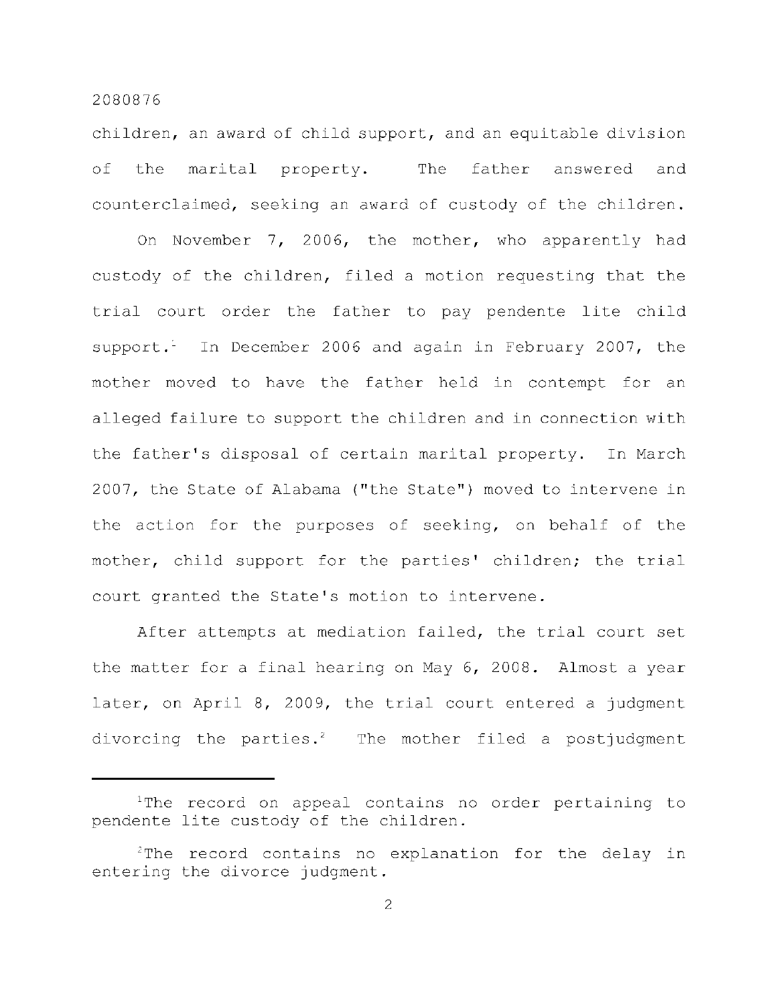children, an award of child support, and an equitable division of the marital property. The father answered and counterclaimed, seeking an award of custody of the children.

On November 7, 2006, the mother, who apparently had custody of the children, filed a motion requesting that the trial court order the father to pay pendente lite child support. In December 2006 and again in February 2007, the mother moved to have the father held in contempt for an alleged failure to support the children and in connection with the father's disposal of certain marital property. In March 2007, the State of Alabama ("the State") moved to intervene in the action for the purposes of seeking, on behalf of the mother, child support for the parties' children; the trial court granted the State's motion to intervene.

After attempts at mediation failed, the trial court set the matter for a final hearing on May 6, 2008. Almost a year later, on April 8, 2009, the trial court entered a judgment divorcing the parties.<sup>2</sup> The mother filed a postjudgment

<sup>&</sup>lt;sup>1</sup>The record on appeal contains no order pertaining to pendente lite custody of the children.

 $2$ The record contains no explanation for the delay in entering the divorce judgment.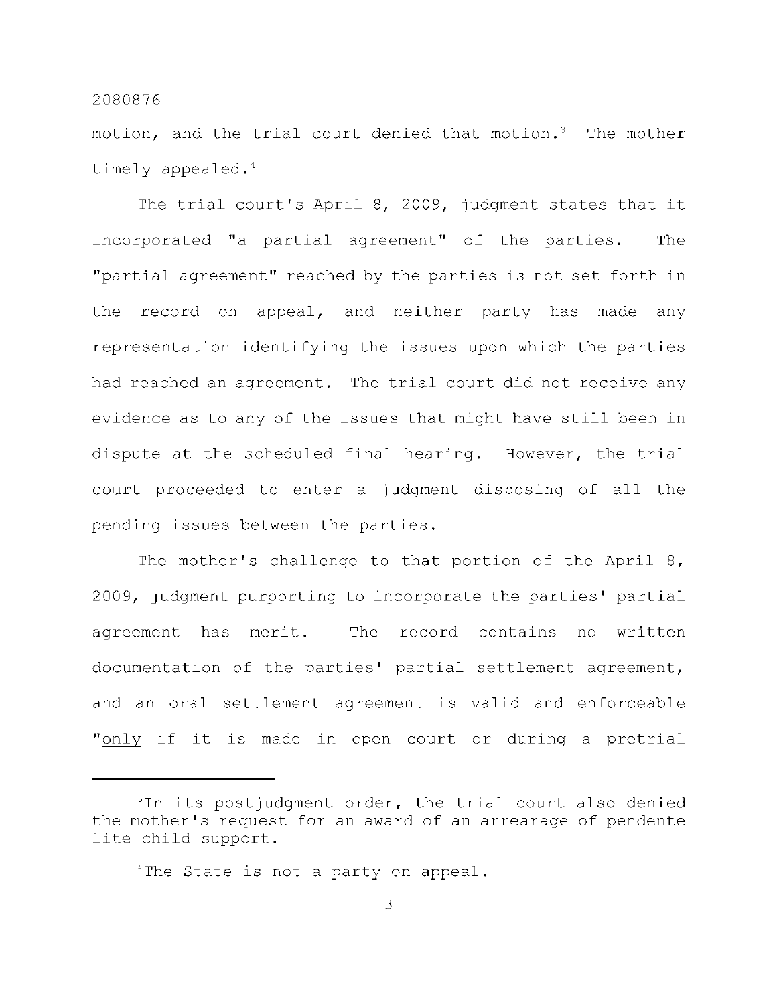motion, and the trial court denied that motion.<sup>3</sup> The mother timely appealed. $<sup>4</sup>$ </sup>

The trial court's April 8, 2009, judgment states that it incorporated "a partial agreement" of the parties. The "partial agreement" reached by the parties is not set forth in the record on appeal, and neither party has made any representation identifying the issues upon which the parties had reached an agreement. The trial court did not receive any evidence as to any of the issues that might have still been in dispute at the scheduled final hearing. However, the trial court proceeded to enter a judgment disposing of all the pending issues between the parties.

The mother's challenge to that portion of the April  $8$ , 2009, judgment purporting to incorporate the parties' partial agreement has merit. The record contains no written documentation of the parties' partial settlement agreement, and an oral settlement agreement is valid and enforceable " only if it is made in open court or during a pretrial

 $3$ In its postjudgment order, the trial court also denied the mother's request for an award of an arrearage of pendente lite child support.

 $4$ The State is not a party on appeal.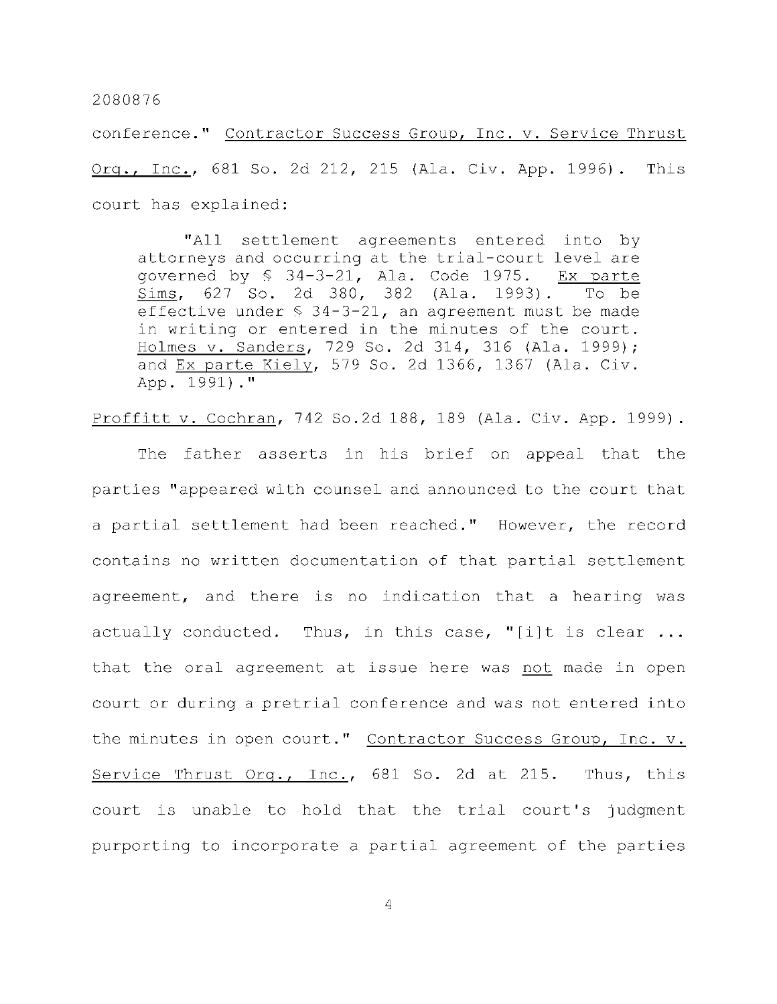conference." Contractor Success Group, Inc. v. Service Thrust Org., Inc., 681 So. 2d 212, 215 (Ala. Civ. App. 1996). This court has explained:

"All settlement agreements entered into by attorneys and occurring at the trial-court level are governed by  $$34-3-21$ , Ala. Code 1975. Ex parte Sims, 627 So. 2d 380, 382 (Ala. 1993). To be effective under  $$34-3-21$ , an agreement must be made in writing or entered in the minutes of the court. Holmes v. Sanders, 729 So. 2d 314, 316 (Ala. 1999); and Ex parte Kiely, 579 So. 2d 1366, 1367 (Ala. Civ. App.  $1991)$ ."

Proffitt v. Cochran, 742 So.2d 188, 189 (Ala. Civ. App. 1999).

The father asserts in his brief on appeal that the parties "appeared with counsel and announced to the court that a partial settlement had been reached." However, the record contains no written documentation of that partial settlement agreement, and there is no indication that a hearing was actually conducted. Thus, in this case, "[i]t is clear  $\ldots$ that the oral agreement at issue here was not made in open court or during a pretrial conference and was not entered into the minutes in open court." Contractor Success Group, Inc. v. Service Thrust Org., Inc., 681 So. 2d at 215. Thus, this court is unable to hold that the trial court's judgment purporting to incorporate a partial agreement of the parties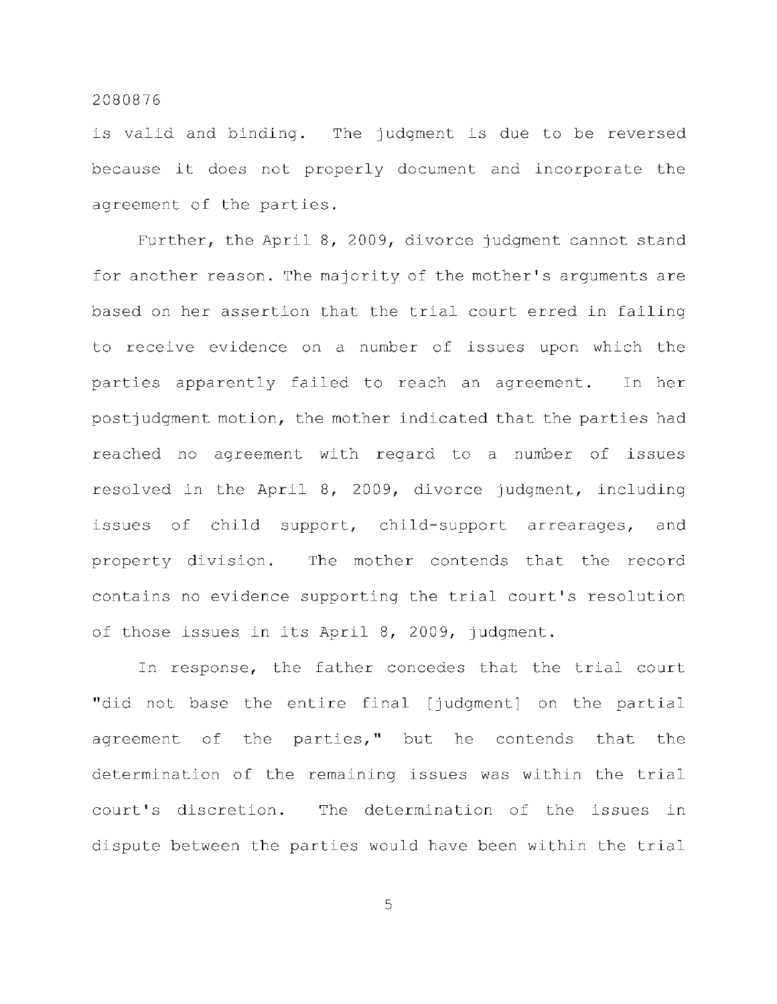is valid and binding. The judgment is due to be reversed because it does not properly document and incorporate the agreement of the parties.

Further, the April 8, 2009, divorce judgment cannot stand for another reason. The majority of the mother's arguments are based on her assertion that the trial court erred in failing to receive evidence on a number of issues upon which the parties apparently failed to reach an agreement. In her postjudgment motion, the mother indicated that the parties had reached no agreement with regard to a number of issues resolved in the April 8, 2009, divorce judgment, including issues of child support, child-support arrearages, and property division. The mother contends that the record contains no evidence supporting the trial court's resolution of those issues in its April 8, 2009, judgment.

In response, the father concedes that the trial court "did not base the entire final [judgment] on the partial agreement of the parties," but he contends that the determination of the remaining issues was within the trial court's discretion. The determination of the issues in dispute between the parties would have been within the trial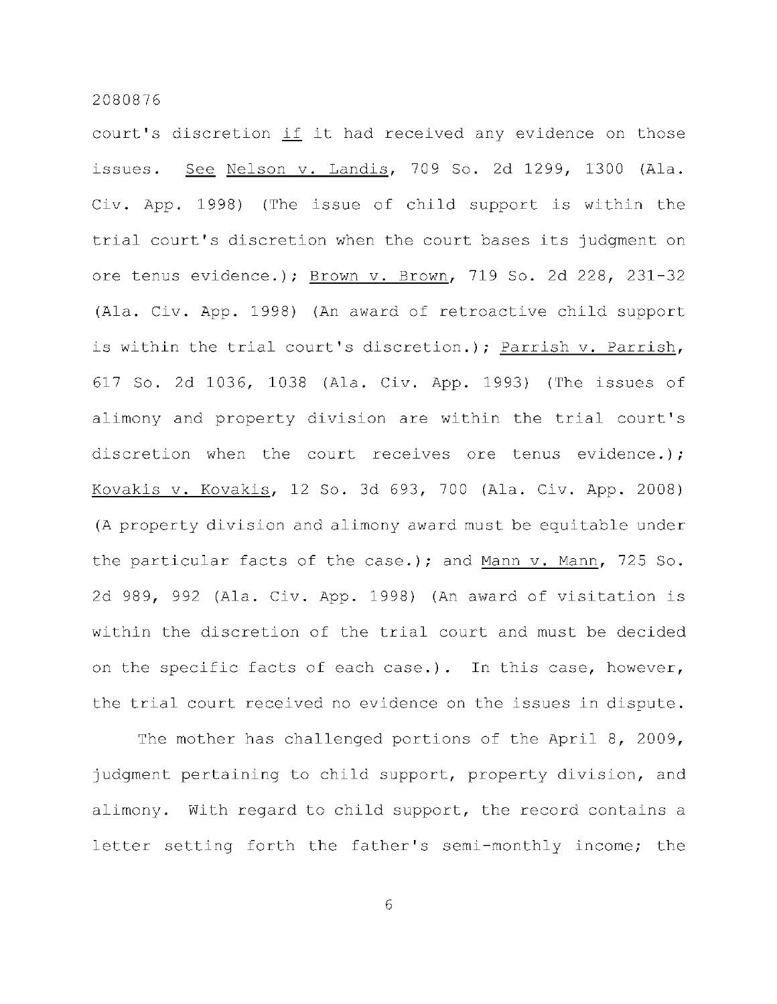court's discretion if it had received any evidence on those issues. See Nelson v. Landis, 709 So. 2d 1299, 1300 (Ala. Civ. App. 1998) (The issue of child support is within the trial court's discretion when the court bases its judgment on ore tenus evidence.); Brown v. Brown, 719 So. 2d 228, 231-32 (Ala. Civ. App. 1998) (An award of retroactive child support is within the trial court's discretion.); Parrish v. Parrish, 617 So. 2d 1036, 1038 (Ala. Civ. App. 1993) (The issues of alimony and property division are within the trial court's discretion when the court receives ore tenus evidence.); Kovakis v. Kovakis, 12 So. 3d 693, 700 (Ala. Civ. App. 2008) (A property division and alimony award must be equitable under the particular facts of the case.); and Mann  $v$ . Mann, 725 So. 2d 989, 992 (Ala. Civ. App. 1998) (An award of visitation is within the discretion of the trial court and must be decided on the specific facts of each case.). In this case, however, the trial court received no evidence on the issues in dispute.

The mother has challenged portions of the April 8, 2009, judgment pertaining to child support, property division, and alimony. With regard to child support, the record contains a letter setting forth the father's semi-monthly income; the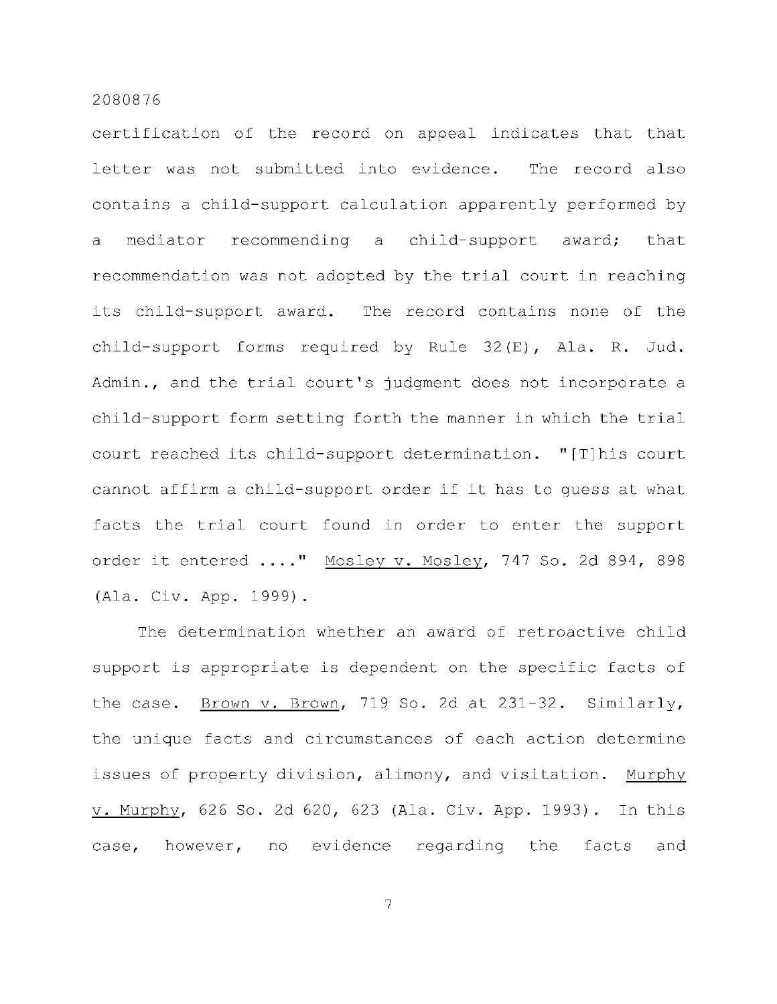certification of the record on appeal indicates that that letter was not submitted into evidence. The record also contains a child-support calculation apparently performed by a mediator recommending a child-support award; that recommendation was not adopted by the trial court in reaching its child-support award. The record contains none of the child-support forms required by Rule 32(E), Ala. R. Jud. Admin., and the trial court's judgment does not incorporate a child-support form setting forth the manner in which the trial court reached its child-support determination. "[T]his court cannot affirm a child-support order if it has to quess at what facts the trial court found in order to enter the support order it entered ...." Mosley v. Mosley, 747 So. 2d 894, 898 (Ala. Civ. App. 1999).

The determination whether an award of retroactive child support is appropriate is dependent on the specific facts of the case. Brown v. Brown, 719 So. 2d at  $231-32$ . Similarly, the unique facts and circumstances of each action determine issues of property division, alimony, and visitation. Murphy v. Murphy, 626 So. 2d 620, 623 (Ala. Civ. App. 1993). In this case, however, no evidence regarding the facts and